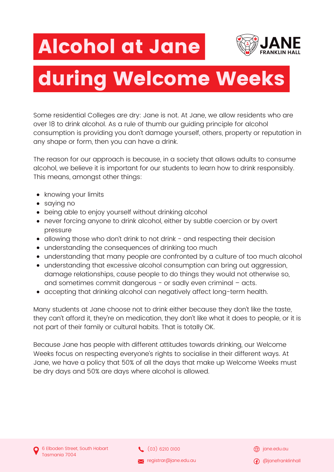## Alcohol at Jane



## during Welcome Weeks

Some residential Colleges are dry: Jane is not. At Jane, we allow residents who are over 18 to drink alcohol. As a rule of thumb our guiding principle for alcohol consumption is providing you don't damage yourself, others, property or reputation in any shape or form, then you can have a drink.

The reason for our approach is because, in a society that allows adults to consume alcohol, we believe it is important for our students to learn how to drink responsibly. This means, amongst other things:

- knowing your limits
- saying no
- being able to enjoy yourself without drinking alcohol
- never forcing anyone to drink alcohol, either by subtle coercion or by overt pressure
- allowing those who don't drink to not drink and respecting their decision
- understanding the consequences of drinking too much
- understanding that many people are confronted by a culture of too much alcohol
- understanding that excessive alcohol consumption can bring out aggression, damage relationships, cause people to do things they would not otherwise so, and sometimes commit dangerous - or sadly even criminal - acts.
- accepting that drinking alcohol can negatively affect long-term health.

Many students at Jane choose not to drink either because they don't like the taste, they can't afford it, they're on medication, they don't like what it does to people, or it is not part of their family or cultural habits. That is totally OK.

Because Jane has people with different attitudes towards drinking, our Welcome Weeks focus on respecting everyone's rights to socialise in their different ways. At Jane, we have a policy that 50% of all the days that make up Welcome Weeks must be dry days and 50% are days where alcohol is allowed.